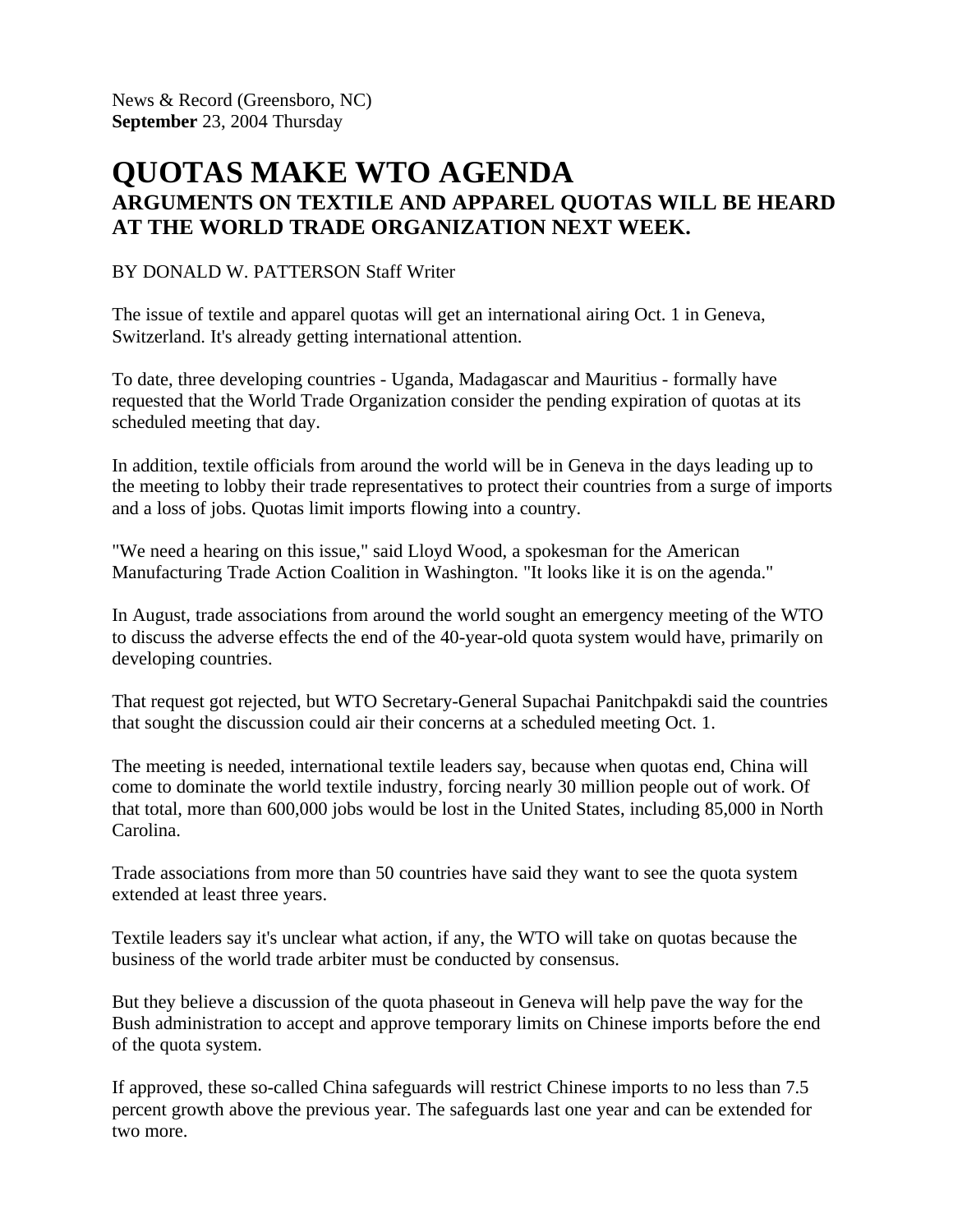News & Record (Greensboro, NC) **September** 23, 2004 Thursday

## **QUOTAS MAKE WTO AGENDA ARGUMENTS ON TEXTILE AND APPAREL QUOTAS WILL BE HEARD AT THE WORLD TRADE ORGANIZATION NEXT WEEK.**

## BY DONALD W. PATTERSON Staff Writer

The issue of textile and apparel quotas will get an international airing Oct. 1 in Geneva, Switzerland. It's already getting international attention.

To date, three developing countries - Uganda, Madagascar and Mauritius - formally have requested that the World Trade Organization consider the pending expiration of quotas at its scheduled meeting that day.

In addition, textile officials from around the world will be in Geneva in the days leading up to the meeting to lobby their trade representatives to protect their countries from a surge of imports and a loss of jobs. Quotas limit imports flowing into a country.

"We need a hearing on this issue," said Lloyd Wood, a spokesman for the American Manufacturing Trade Action Coalition in Washington. "It looks like it is on the agenda."

In August, trade associations from around the world sought an emergency meeting of the WTO to discuss the adverse effects the end of the 40-year-old quota system would have, primarily on developing countries.

That request got rejected, but WTO Secretary-General Supachai Panitchpakdi said the countries that sought the discussion could air their concerns at a scheduled meeting Oct. 1.

The meeting is needed, international textile leaders say, because when quotas end, China will come to dominate the world textile industry, forcing nearly 30 million people out of work. Of that total, more than 600,000 jobs would be lost in the United States, including 85,000 in North Carolina.

Trade associations from more than 50 countries have said they want to see the quota system extended at least three years.

Textile leaders say it's unclear what action, if any, the WTO will take on quotas because the business of the world trade arbiter must be conducted by consensus.

But they believe a discussion of the quota phaseout in Geneva will help pave the way for the Bush administration to accept and approve temporary limits on Chinese imports before the end of the quota system.

If approved, these so-called China safeguards will restrict Chinese imports to no less than 7.5 percent growth above the previous year. The safeguards last one year and can be extended for two more.